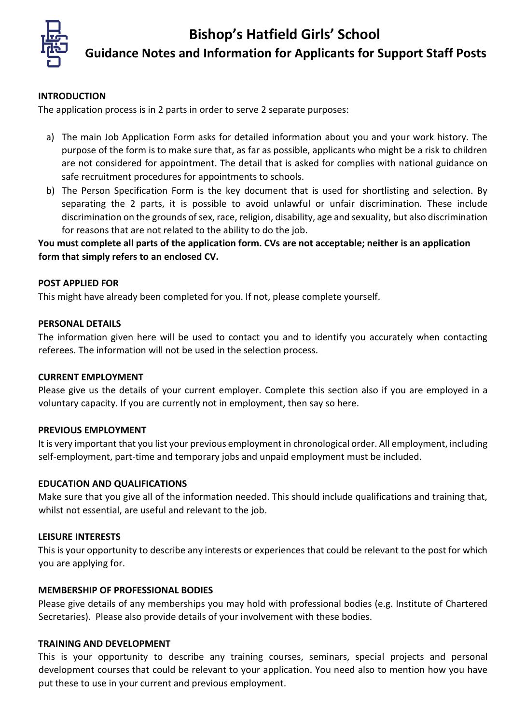# **Bishop's Hatfield Girls' School**



**Guidance Notes and Information for Applicants for Support Staff Posts**

#### **INTRODUCTION**

The application process is in 2 parts in order to serve 2 separate purposes:

- a) The main Job Application Form asks for detailed information about you and your work history. The purpose of the form is to make sure that, as far as possible, applicants who might be a risk to children are not considered for appointment. The detail that is asked for complies with national guidance on safe recruitment procedures for appointments to schools.
- b) The Person Specification Form is the key document that is used for shortlisting and selection. By separating the 2 parts, it is possible to avoid unlawful or unfair discrimination. These include discrimination on the grounds of sex, race, religion, disability, age and sexuality, but also discrimination for reasons that are not related to the ability to do the job.

**You must complete all parts of the application form. CVs are not acceptable; neither is an application form that simply refers to an enclosed CV.** 

#### **POST APPLIED FOR**

This might have already been completed for you. If not, please complete yourself.

#### **PERSONAL DETAILS**

The information given here will be used to contact you and to identify you accurately when contacting referees. The information will not be used in the selection process.

#### **CURRENT EMPLOYMENT**

Please give us the details of your current employer. Complete this section also if you are employed in a voluntary capacity. If you are currently not in employment, then say so here.

#### **PREVIOUS EMPLOYMENT**

It is very important that you list your previous employment in chronological order. All employment, including self-employment, part-time and temporary jobs and unpaid employment must be included.

#### **EDUCATION AND QUALIFICATIONS**

Make sure that you give all of the information needed. This should include qualifications and training that, whilst not essential, are useful and relevant to the job.

#### **LEISURE INTERESTS**

This is your opportunity to describe any interests or experiences that could be relevant to the post for which you are applying for.

#### **MEMBERSHIP OF PROFESSIONAL BODIES**

Please give details of any memberships you may hold with professional bodies (e.g. Institute of Chartered Secretaries). Please also provide details of your involvement with these bodies.

#### **TRAINING AND DEVELOPMENT**

This is your opportunity to describe any training courses, seminars, special projects and personal development courses that could be relevant to your application. You need also to mention how you have put these to use in your current and previous employment.